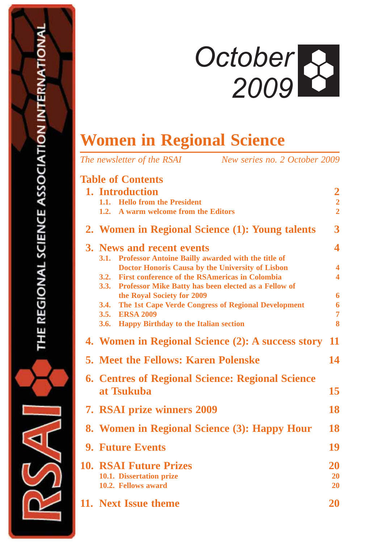# *October 2009*

# **Women in Regional Science**

| New series no. 2 October 2009<br>The newsletter of the RSAI                                                                                                                                                                                                                                                                                                                                                                |                                                                                     |
|----------------------------------------------------------------------------------------------------------------------------------------------------------------------------------------------------------------------------------------------------------------------------------------------------------------------------------------------------------------------------------------------------------------------------|-------------------------------------------------------------------------------------|
| <b>Table of Contents</b><br>1. Introduction<br>1.1. Hello from the President<br>A warm welcome from the Editors<br>1.2.                                                                                                                                                                                                                                                                                                    | $\overline{2}$<br>$\frac{2}{2}$                                                     |
| 2. Women in Regional Science (1): Young talents                                                                                                                                                                                                                                                                                                                                                                            | 3                                                                                   |
| 3. News and recent events<br><b>Professor Antoine Bailly awarded with the title of</b><br><b>3.1.</b><br><b>Doctor Honoris Causa by the University of Lisbon</b><br><b>First conference of the RSAmericas in Colombia</b><br>3.2.<br>3.3.<br>Professor Mike Batty has been elected as a Fellow of<br>the Royal Society for 2009<br>The 1st Cape Verde Congress of Regional Development<br>3.4.<br><b>ERSA 2009</b><br>3.5. | 4<br>$\overline{\mathbf{4}}$<br>$\overline{\mathbf{4}}$<br>6<br>6<br>$\overline{7}$ |
| <b>Happy Birthday to the Italian section</b><br>3.6.                                                                                                                                                                                                                                                                                                                                                                       | 8                                                                                   |
| 4. Women in Regional Science (2): A success story                                                                                                                                                                                                                                                                                                                                                                          | 11                                                                                  |
| <b>5. Meet the Fellows: Karen Polenske</b>                                                                                                                                                                                                                                                                                                                                                                                 | 14                                                                                  |
| <b>6. Centres of Regional Science: Regional Science</b><br>at Tsukuba                                                                                                                                                                                                                                                                                                                                                      | 15                                                                                  |
| <b>7. RSAI prize winners 2009</b>                                                                                                                                                                                                                                                                                                                                                                                          | 18                                                                                  |
| 8. Women in Regional Science (3): Happy Hour                                                                                                                                                                                                                                                                                                                                                                               | 18                                                                                  |
| <b>9. Future Events</b>                                                                                                                                                                                                                                                                                                                                                                                                    | 19                                                                                  |
| <b>10. RSAI Future Prizes</b><br>10.1. Dissertation prize<br>10.2. Fellows award                                                                                                                                                                                                                                                                                                                                           | <b>20</b><br>20<br>20                                                               |
| 11. Next Issue theme                                                                                                                                                                                                                                                                                                                                                                                                       | <b>20</b>                                                                           |

ৰি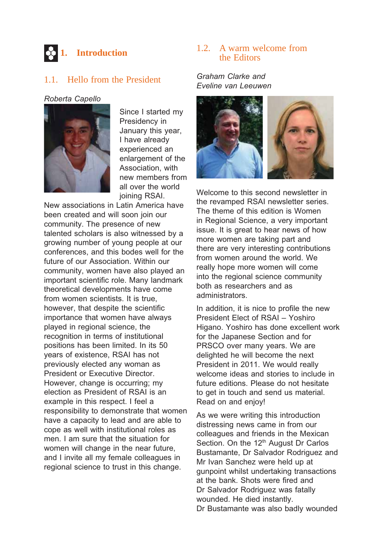

#### 1.1. Hello from the President

#### *Roberta Capello*



Since I started my Presidency in January this year, I have already experienced an enlargement of the Association, with new members from all over the world joining RSAI.

New associations in Latin America have been created and will soon join our community. The presence of new talented scholars is also witnessed by a growing number of young people at our conferences, and this bodes well for the future of our Association. Within our community, women have also played an important scientific role. Many landmark theoretical developments have come from women scientists. It is true, however, that despite the scientific importance that women have always played in regional science, the recognition in terms of institutional positions has been limited. In its 50 years of existence, RSAI has not previously elected any woman as President or Executive Director. However, change is occurring; my election as President of RSAI is an example in this respect. I feel a responsibility to demonstrate that women have a capacity to lead and are able to cope as well with institutional roles as men. I am sure that the situation for women will change in the near future, and I invite all my female colleagues in regional science to trust in this change.

#### 1.2. A warm welcome from the Editors

#### *Graham Clarke and Eveline van Leeuwen*



Welcome to this second newsletter in the revamped RSAI newsletter series. The theme of this edition is Women in Regional Science, a very important issue. It is great to hear news of how more women are taking part and there are very interesting contributions from women around the world. We really hope more women will come into the regional science community both as researchers and as administrators.

In addition, it is nice to profile the new President Elect of RSAI – Yoshiro Higano. Yoshiro has done excellent work for the Japanese Section and for PRSCO over many years. We are delighted he will become the next President in 2011. We would really welcome ideas and stories to include in future editions. Please do not hesitate to get in touch and send us material. Read on and enjoy!

As we were writing this introduction distressing news came in from our colleagues and friends in the Mexican Section. On the 12<sup>th</sup> August Dr Carlos Bustamante, Dr Salvador Rodriguez and Mr Ivan Sanchez were held up at gunpoint whilst undertaking transactions at the bank. Shots were fired and Dr Salvador Rodriguez was fatally wounded. He died instantly. Dr Bustamante was also badly wounded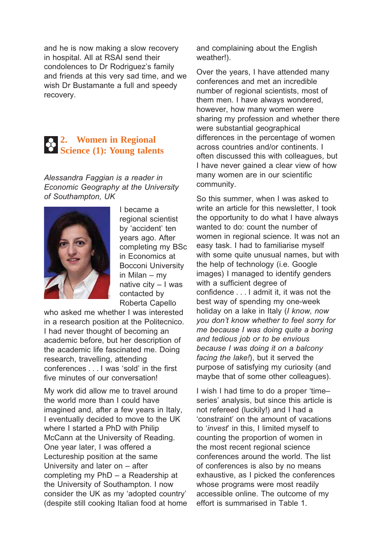and he is now making a slow recovery in hospital. All at RSAI send their condolences to Dr Rodriguez's family and friends at this very sad time, and we wish Dr Bustamante a full and speedy recovery.

#### **2. Women in Regional Science (1): Young talents**

*Alessandra Faggian is a reader in Economic Geography at the University of Southampton, UK*



I became a regional scientist by 'accident' ten years ago. After completing my BSc in Economics at Bocconi University in Milan – my native city – I was contacted by Roberta Capello

who asked me whether I was interested in a research position at the Politecnico. I had never thought of becoming an academic before, but her description of the academic life fascinated me. Doing research, travelling, attending conferences . . . I was 'sold' in the first five minutes of our conversation!

My work did allow me to travel around the world more than I could have imagined and, after a few years in Italy, I eventually decided to move to the UK where I started a PhD with Philip McCann at the University of Reading. One year later, I was offered a Lectureship position at the same University and later on – after completing my PhD – a Readership at the University of Southampton. I now consider the UK as my 'adopted country' (despite still cooking Italian food at home

and complaining about the English weather!).

Over the years, I have attended many conferences and met an incredible number of regional scientists, most of them men. I have always wondered, however, how many women were sharing my profession and whether there were substantial geographical differences in the percentage of women across countries and/or continents. I often discussed this with colleagues, but I have never gained a clear view of how many women are in our scientific community.

So this summer, when I was asked to write an article for this newsletter, I took the opportunity to do what I have always wanted to do: count the number of women in regional science. It was not an easy task. I had to familiarise myself with some quite unusual names, but with the help of technology (i.e. Google images) I managed to identify genders with a sufficient degree of confidence . . . I admit it, it was not the best way of spending my one-week holiday on a lake in Italy (*I know, now you don't know whether to feel sorry for me because I was doing quite a boring and tedious job or to be envious because I was doing it on a balcony facing the lake!*), but it served the purpose of satisfying my curiosity (and maybe that of some other colleagues).

I wish I had time to do a proper 'time– series' analysis, but since this article is not refereed (luckily!) and I had a 'constraint' on the amount of vacations to '*invest*' in this, I limited myself to counting the proportion of women in the most recent regional science conferences around the world. The list of conferences is also by no means exhaustive, as I picked the conferences whose programs were most readily accessible online. The outcome of my effort is summarised in Table 1.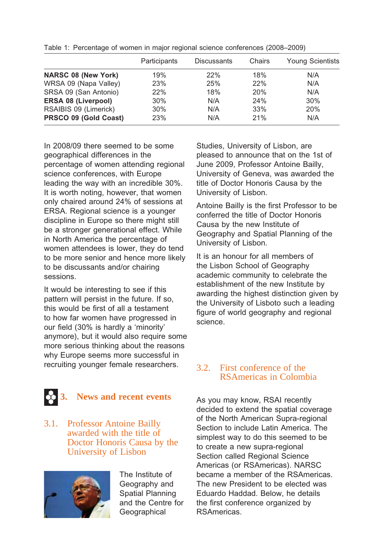|                            | Participants | <b>Discussants</b> | Chairs     | <b>Young Scientists</b> |
|----------------------------|--------------|--------------------|------------|-------------------------|
| <b>NARSC 08 (New York)</b> | 19%          | 22%                | 18%        | N/A                     |
| WRSA 09 (Napa Valley)      | 23%          | 25%                | 22%        | N/A                     |
| SRSA 09 (San Antonio)      | 22%          | 18%                | <b>20%</b> | N/A                     |
| <b>ERSA 08 (Liverpool)</b> | 30%          | N/A                | 24%        | 30%                     |
| RSAIBIS 09 (Limerick)      | 30%          | N/A                | 33%        | 20%                     |
| PRSCO 09 (Gold Coast)      | 23%          | N/A                | 21%        | N/A                     |

Table 1: Percentage of women in major regional science conferences (2008–2009)

In 2008/09 there seemed to be some geographical differences in the percentage of women attending regional science conferences, with Europe leading the way with an incredible 30%. It is worth noting, however, that women only chaired around 24% of sessions at ERSA. Regional science is a younger discipline in Europe so there might still be a stronger generational effect. While in North America the percentage of women attendees is lower, they do tend to be more senior and hence more likely to be discussants and/or chairing sessions.

It would be interesting to see if this pattern will persist in the future. If so, this would be first of all a testament to how far women have progressed in our field (30% is hardly a 'minority' anymore), but it would also require some more serious thinking about the reasons why Europe seems more successful in recruiting younger female researchers.

#### **3. News and recent events**

#### 3.1. Professor Antoine Bailly awarded with the title of Doctor Honoris Causa by the University of Lisbon



The Institute of Geography and Spatial Planning and the Centre for **Geographical** 

Studies, University of Lisbon, are pleased to announce that on the 1st of June 2009, Professor Antoine Bailly, University of Geneva, was awarded the title of Doctor Honoris Causa by the University of Lisbon.

Antoine Bailly is the first Professor to be conferred the title of Doctor Honoris Causa by the new Institute of Geography and Spatial Planning of the University of Lisbon.

It is an honour for all members of the Lisbon School of Geography academic community to celebrate the establishment of the new Institute by awarding the highest distinction given by the University of Lisboto such a leading figure of world geography and regional science.

#### 3.2. First conference of the RSAmericas in Colombia

As you may know, RSAI recently decided to extend the spatial coverage of the North American Supra-regional Section to include Latin America. The simplest way to do this seemed to be to create a new supra-regional Section called Regional Science Americas (or RSAmericas). NARSC became a member of the RSAmericas. The new President to be elected was Eduardo Haddad. Below, he details the first conference organized by RSAmericas.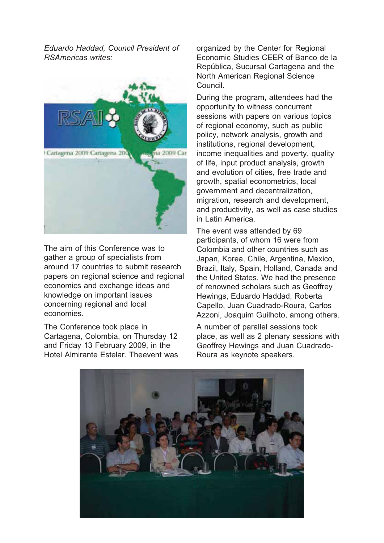*Eduardo Haddad, Council President of RSAmericas writes:*



The aim of this Conference was to gather a group of specialists from around 17 countries to submit research papers on regional science and regional economics and exchange ideas and knowledge on important issues concerning regional and local economies.

The Conference took place in Cartagena, Colombia, on Thursday 12 and Friday 13 February 2009, in the Hotel Almirante Estelar. Theevent was organized by the Center for Regional Economic Studies CEER of Banco de la República, Sucursal Cartagena and the North American Regional Science Council.

During the program, attendees had the opportunity to witness concurrent sessions with papers on various topics of regional economy, such as public policy, network analysis, growth and institutions, regional development, income inequalities and poverty, quality of life, input product analysis, growth and evolution of cities, free trade and growth, spatial econometrics, local government and decentralization, migration, research and development, and productivity, as well as case studies in Latin America.

The event was attended by 69 participants, of whom 16 were from Colombia and other countries such as Japan, Korea, Chile, Argentina, Mexico, Brazil, Italy, Spain, Holland, Canada and the United States. We had the presence of renowned scholars such as Geoffrey Hewings, Eduardo Haddad, Roberta Capello, Juan Cuadrado-Roura, Carlos Azzoni, Joaquim Guilhoto, among others.

A number of parallel sessions took place, as well as 2 plenary sessions with Geoffrey Hewings and Juan Cuadrado-Roura as keynote speakers.

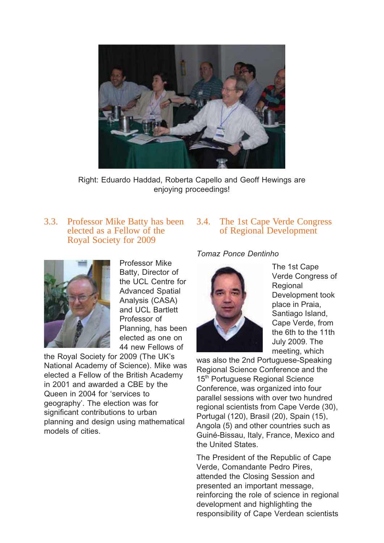

Right: Eduardo Haddad, Roberta Capello and Geoff Hewings are enjoying proceedings!

#### 3.3. Professor Mike Batty has been elected as a Fellow of the Royal Society for 2009



Professor Mike Batty, Director of the UCL Centre for Advanced Spatial Analysis (CASA) and UCL Bartlett Professor of Planning, has been elected as one on 44 new Fellows of

the Royal Society for 2009 (The UK's National Academy of Science). Mike was elected a Fellow of the British Academy in 2001 and awarded a CBE by the Queen in 2004 for 'services to geography'. The election was for significant contributions to urban planning and design using mathematical models of cities.

#### 3.4. The 1st Cape Verde Congress of Regional Development

#### *Tomaz Ponce Dentinho*



The 1st Cape Verde Congress of Regional Development took place in Praia, Santiago Island, Cape Verde, from the 6th to the 11th July 2009. The meeting, which

was also the 2nd Portuguese-Speaking Regional Science Conference and the 15<sup>th</sup> Portuguese Regional Science Conference, was organized into four parallel sessions with over two hundred regional scientists from Cape Verde (30), Portugal (120), Brasil (20), Spain (15), Angola (5) and other countries such as Guiné-Bissau, Italy, France, Mexico and the United States.

The President of the Republic of Cape Verde, Comandante Pedro Pires, attended the Closing Session and presented an important message, reinforcing the role of science in regional development and highlighting the responsibility of Cape Verdean scientists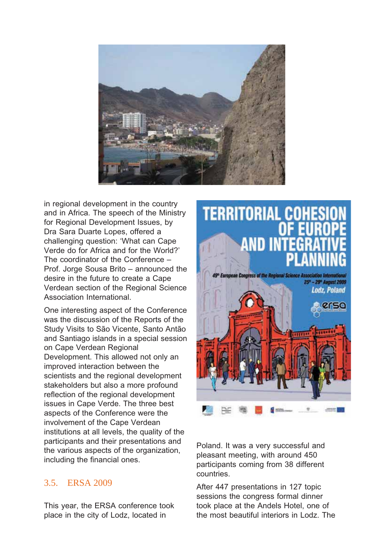

in regional development in the country and in Africa. The speech of the Ministry for Regional Development Issues, by Dra Sara Duarte Lopes, offered a challenging question: 'What can Cape Verde do for Africa and for the World?' The coordinator of the Conference – Prof. Jorge Sousa Brito – announced the desire in the future to create a Cape Verdean section of the Regional Science Association International.

One interesting aspect of the Conference was the discussion of the Reports of the Study Visits to São Vicente, Santo Antão and Santiago islands in a special session on Cape Verdean Regional Development. This allowed not only an improved interaction between the scientists and the regional development stakeholders but also a more profound reflection of the regional development issues in Cape Verde. The three best aspects of the Conference were the involvement of the Cape Verdean institutions at all levels, the quality of the participants and their presentations and the various aspects of the organization, including the financial ones.

#### 3.5. ERSA 2009

This year, the ERSA conference took place in the city of Lodz, located in



Poland. It was a very successful and pleasant meeting, with around 450 participants coming from 38 different countries.

After 447 presentations in 127 topic sessions the congress formal dinner took place at the Andels Hotel, one of the most beautiful interiors in Lodz. The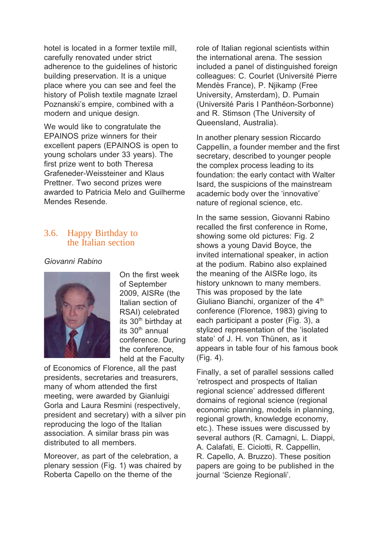hotel is located in a former textile mill, carefully renovated under strict adherence to the guidelines of historic building preservation. It is a unique place where you can see and feel the history of Polish textile magnate Izrael Poznanski's empire, combined with a modern and unique design.

We would like to congratulate the EPAINOS prize winners for their excellent papers (EPAINOS is open to young scholars under 33 years). The first prize went to both Theresa Grafeneder-Weissteiner and Klaus Prettner. Two second prizes were awarded to Patricia Melo and Guilherme Mendes Resende.

#### 3.6. Happy Birthday to the Italian section

*Giovanni Rabino*



On the first week of September 2009, AISRe (the Italian section of RSAI) celebrated its 30<sup>th</sup> birthday at its  $30<sup>th</sup>$  annual conference. During the conference, held at the Faculty

of Economics of Florence, all the past presidents, secretaries and treasurers, many of whom attended the first meeting, were awarded by Gianluigi Gorla and Laura Resmini (respectively, president and secretary) with a silver pin reproducing the logo of the Italian association. A similar brass pin was distributed to all members.

Moreover, as part of the celebration, a plenary session (Fig. 1) was chaired by Roberta Capello on the theme of the

role of Italian regional scientists within the international arena. The session included a panel of distinguished foreign colleagues: C. Courlet (Université Pierre Mendès France), P. Njikamp (Free University, Amsterdam), D. Pumain (Université Paris I Panthéon-Sorbonne) and R. Stimson (The University of Queensland, Australia).

In another plenary session Riccardo Cappellin, a founder member and the first secretary, described to younger people the complex process leading to its foundation: the early contact with Walter Isard, the suspicions of the mainstream academic body over the 'innovative' nature of regional science, etc.

In the same session, Giovanni Rabino recalled the first conference in Rome, showing some old pictures: Fig. 2 shows a young David Boyce, the invited international speaker, in action at the podium. Rabino also explained the meaning of the AISRe logo, its history unknown to many members. This was proposed by the late Giuliano Bianchi, organizer of the 4<sup>th</sup> conference (Florence, 1983) giving to each participant a poster (Fig. 3), a stylized representation of the 'isolated state' of J. H. von Thünen, as it appears in table four of his famous book (Fig. 4).

Finally, a set of parallel sessions called 'retrospect and prospects of Italian regional science' addressed different domains of regional science (regional economic planning, models in planning, regional growth, knowledge economy, etc.). These issues were discussed by several authors (R. Camagni, L. Diappi, A. Calafati, E. Ciciotti, R. Cappellin, R. Capello, A. Bruzzo). These position papers are going to be published in the journal 'Scienze Regionali'.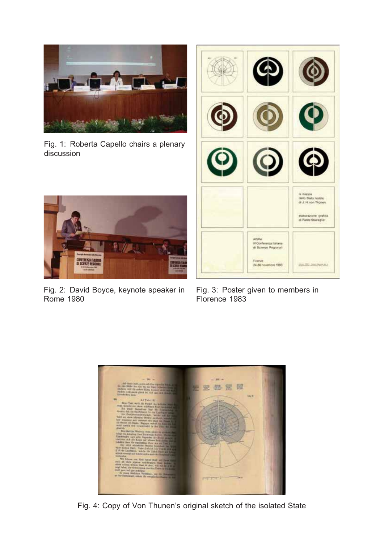

Fig. 1: Roberta Capello chairs a plenary discussion



Fig. 2: David Boyce, keynote speaker in Rome 1980



Fig. 3: Poster given to members in Florence 1983



Fig. 4: Copy of Von Thunen's original sketch of the isolated State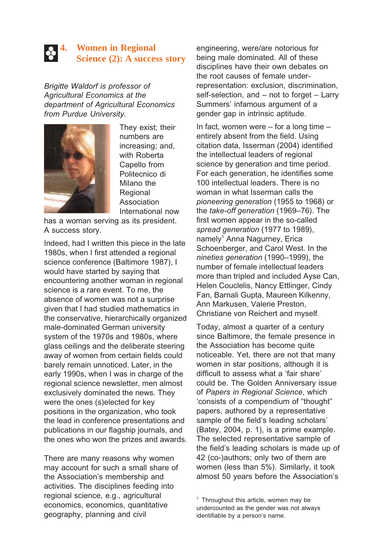## **4. Women in Regional Science (2): A success story**

*Brigitte Waldorf is professor of Agricultural Economics at the department of Agricultural Economics from Purdue University.*



They exist; their numbers are increasing; and, with Roberta Capello from Politecnico di Milano the Regional Association International now

has a woman serving as its president. A success story.

Indeed, had I written this piece in the late 1980s, when I first attended a regional science conference (Baltimore 1987), I would have started by saying that encountering another woman in regional science is a rare event. To me, the absence of women was not a surprise given that I had studied mathematics in the conservative, hierarchically organized male-dominated German university system of the 1970s and 1980s, where glass ceilings and the deliberate steering away of women from certain fields could barely remain unnoticed. Later, in the early 1990s, when I was in charge of the regional science newsletter, men almost exclusively dominated the news. They were the ones (s)elected for key positions in the organization, who took the lead in conference presentations and publications in our flagship journals, and the ones who won the prizes and awards.

There are many reasons why women may account for such a small share of the Association's membership and activities. The disciplines feeding into regional science, e.g., agricultural economics, economics, quantitative geography, planning and civil

engineering, were/are notorious for being male dominated. All of these disciplines have their own debates on the root causes of female underrepresentation: exclusion, discrimination, self-selection, and – not to forget – Larry Summers' infamous argument of a gender gap in intrinsic aptitude.

In fact, women were – for a long time – entirely absent from the field. Using citation data, Isserman (2004) identified the intellectual leaders of regional science by generation and time period. For each generation, he identifies some 100 intellectual leaders. There is no woman in what Isserman calls the *pioneering generation* (1955 to 1968) or the *take-off generation* (1969–76). The first women appear in the so-called *spread generation* (1977 to 1989), namely<sup>1</sup> Anna Nagurney, Erica Schoenberger, and Carol West. In the *nineties generation* (1990–1999), the number of female intellectual leaders more than tripled and included Ayse Can, Helen Couclelis, Nancy Ettlinger, Cindy Fan, Barnali Gupta, Maureen Kilkenny, Ann Markusen, Valerie Preston, Christiane von Reichert and myself.

Today, almost a quarter of a century since Baltimore, the female presence in the Association has become quite noticeable. Yet, there are not that many women in star positions, although it is difficult to assess what a 'fair share' could be. The Golden Anniversary issue of *Papers in Regional Science*, which 'consists of a compendium of "thought" papers, authored by a representative sample of the field's leading scholars' (Batey, 2004, p. 1), is a prime example. The selected representative sample of the field's leading scholars is made up of 42 (co-)authors; only two of them are women (less than 5%). Similarly, it took almost 50 years before the Association's

<sup>&</sup>lt;sup>1</sup> Throughout this article, women may be undercounted as the gender was not always identifiable by a person's name.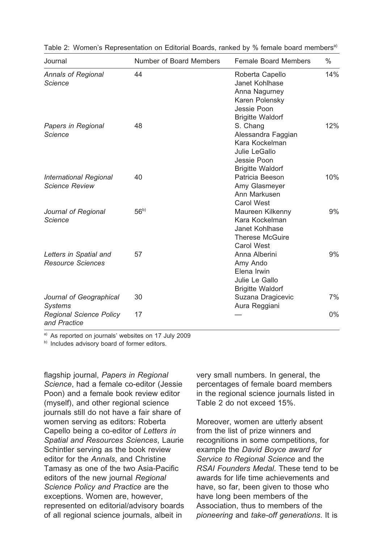| Journal                                                | Number of Board Members | <b>Female Board Members</b>                                                                                    | $\%$ |
|--------------------------------------------------------|-------------------------|----------------------------------------------------------------------------------------------------------------|------|
| <b>Annals of Regional</b><br><b>Science</b>            | 44                      | Roberta Capello<br>Janet Kohlhase<br>Anna Nagurney<br>Karen Polensky<br>Jessie Poon<br><b>Brigitte Waldorf</b> | 14%  |
| Papers in Regional<br><b>Science</b>                   | 48                      | S. Chang<br>Alessandra Faggian<br>Kara Kockelman<br>Julie LeGallo<br>Jessie Poon<br><b>Brigitte Waldorf</b>    | 12%  |
| <b>International Regional</b><br><b>Science Review</b> | 40                      | Patricia Beeson<br>Amy Glasmeyer<br>Ann Markusen<br><b>Carol West</b>                                          | 10%  |
| Journal of Regional<br><b>Science</b>                  | 56 <sup>b</sup>         | Maureen Kilkenny<br>Kara Kockelman<br>Janet Kohlhase<br><b>Therese McGuire</b><br><b>Carol West</b>            | 9%   |
| Letters in Spatial and<br><b>Resource Sciences</b>     | 57                      | Anna Alberini<br>Amy Ando<br>Elena Irwin<br>Julie Le Gallo<br><b>Brigitte Waldorf</b>                          | 9%   |
| Journal of Geographical<br><b>Systems</b>              | 30                      | Suzana Dragicevic<br>Aura Reggiani                                                                             | 7%   |
| <b>Regional Science Policy</b><br>and Practice         | 17                      |                                                                                                                | 0%   |

Table 2: Women's Representation on Editorial Boards, ranked by % female board members<sup>a)</sup>

a) As reported on journals' websites on 17 July 2009

b) Includes advisory board of former editors.

flagship journal, *Papers in Regional Science*, had a female co-editor (Jessie Poon) and a female book review editor (myself), and other regional science journals still do not have a fair share of women serving as editors: Roberta Capello being a co-editor of *Letters in Spatial and Resources Sciences*, Laurie Schintler serving as the book review editor for the *Annals*, and Christine Tamasy as one of the two Asia-Pacific editors of the new journal *Regional Science Policy and Practice* are the exceptions. Women are, however, represented on editorial/advisory boards of all regional science journals, albeit in

very small numbers. In general, the percentages of female board members in the regional science journals listed in Table 2 do not exceed 15%.

Moreover, women are utterly absent from the list of prize winners and recognitions in some competitions, for example the *David Boyce award for Service to Regional Science* and the *RSAI Founders Medal*. These tend to be awards for life time achievements and have, so far, been given to those who have long been members of the Association, thus to members of the *pioneering* and *take-off generations*. It is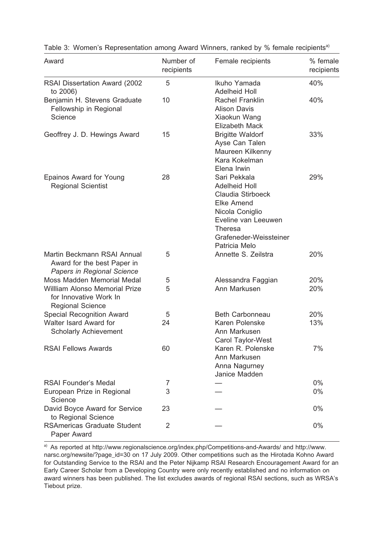| Award                                                                                                                   | Number of<br>recipients | Female recipients                                                                                                                                                                     | % female<br>recipients |
|-------------------------------------------------------------------------------------------------------------------------|-------------------------|---------------------------------------------------------------------------------------------------------------------------------------------------------------------------------------|------------------------|
| RSAI Dissertation Award (2002<br>to 2006)                                                                               | 5                       | Ikuho Yamada<br><b>Adelheid Holl</b>                                                                                                                                                  | 40%                    |
| Benjamin H. Stevens Graduate<br>Fellowship in Regional<br>Science                                                       | 10                      | Rachel Franklin<br><b>Alison Davis</b><br>Xiaokun Wang<br><b>Elizabeth Mack</b>                                                                                                       | 40%                    |
| Geoffrey J. D. Hewings Award                                                                                            | 15                      | <b>Brigitte Waldorf</b><br>Ayse Can Talen<br>Maureen Kilkenny<br>Kara Kokelman<br>Elena Irwin                                                                                         | 33%                    |
| Epainos Award for Young<br><b>Regional Scientist</b>                                                                    | 28                      | Sari Pekkala<br><b>Adelheid Holl</b><br>Claudia Stirboeck<br><b>Elke Amend</b><br>Nicola Coniglio<br>Eveline van Leeuwen<br><b>Theresa</b><br>Grafeneder-Weissteiner<br>Patricia Melo | 29%                    |
| Martin Beckmann RSAI Annual<br>Award for the best Paper in<br>Papers in Regional Science                                | 5                       | Annette S. Zeilstra                                                                                                                                                                   | 20%                    |
| Moss Madden Memorial Medal<br><b>William Alonso Memorial Prize</b><br>for Innovative Work In<br><b>Regional Science</b> | 5<br>5                  | Alessandra Faggian<br>Ann Markusen                                                                                                                                                    | 20%<br>20%             |
| <b>Special Recognition Award</b><br>Walter Isard Award for<br><b>Scholarly Achievement</b>                              | 5<br>24                 | <b>Beth Carbonneau</b><br>Karen Polenske<br>Ann Markusen<br>Carol Taylor-West                                                                                                         | 20%<br>13%             |
| <b>RSAI Fellows Awards</b>                                                                                              | 60                      | Karen R. Polenske<br>Ann Markusen<br>Anna Nagurney<br>Janice Madden                                                                                                                   | 7%                     |
| <b>RSAI Founder's Medal</b>                                                                                             | $\sqrt{2}$              |                                                                                                                                                                                       | $0\%$                  |
| European Prize in Regional<br>Science                                                                                   | 3                       |                                                                                                                                                                                       | $0\%$                  |
| David Boyce Award for Service<br>to Regional Science                                                                    | 23                      |                                                                                                                                                                                       | 0%                     |
| <b>RSAmericas Graduate Student</b><br>Paper Award                                                                       | 2                       |                                                                                                                                                                                       | 0%                     |

Table 3: Women's Representation among Award Winners, ranked by % female recipients<sup>a)</sup>

a) As reported at http://www.regionalscience.org/index.php/Competitions-and-Awards/ and http://www. narsc.org/newsite/?page\_id=30 on 17 July 2009. Other competitions such as the Hirotada Kohno Award for Outstanding Service to the RSAI and the Peter Nijkamp RSAI Research Encouragement Award for an Early Career Scholar from a Developing Country were only recently established and no information on award winners has been published. The list excludes awards of regional RSAI sections, such as WRSA's Tiebout prize.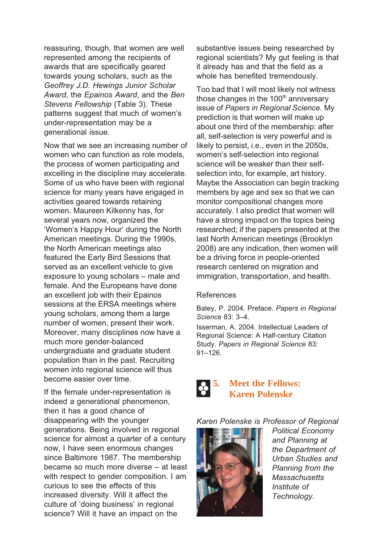reassuring, though, that women are well represented among the recipients of awards that are specifically geared towards young scholars, such as the *Geoffrey J.D. Hewings Junior Scholar Award*, the *Epainos Award*, and the *Ben Stevens Fellowship* (Table 3). These patterns suggest that much of women's under-representation may be a generational issue.

Now that we see an increasing number of women who can function as role models, the process of women participating and excelling in the discipline may accelerate. Some of us who have been with regional science for many years have engaged in activities geared towards retaining women. Maureen Kilkenny has, for several years now, organized the 'Women's Happy Hour' during the North American meetings. During the 1990s, the North American meetings also featured the Early Bird Sessions that served as an excellent vehicle to give exposure to young scholars – male and female. And the Europeans have done an excellent job with their Epainos sessions at the ERSA meetings where young scholars, among them a large number of women, present their work. Moreover, many disciplines now have a much more gender-balanced undergraduate and graduate student population than in the past. Recruiting women into regional science will thus become easier over time.

If the female under-representation is indeed a generational phenomenon, then it has a good chance of disappearing with the younger generations. Being involved in regional science for almost a quarter of a century now, I have seen enormous changes since Baltimore 1987. The membership became so much more diverse – at least with respect to gender composition. I am curious to see the effects of this increased diversity. Will it affect the culture of 'doing business' in regional science? Will it have an impact on the

substantive issues being researched by regional scientists? My gut feeling is that it already has and that the field as a whole has benefited tremendously.

Too bad that I will most likely not witness those changes in the  $100<sup>th</sup>$  anniversary issue of *Papers in Regional Science*. My prediction is that women will make up about one third of the membership: after all, self-selection is very powerful and is likely to persist, i.e., even in the 2050s, women's self-selection into regional science will be weaker than their selfselection into, for example, art history. Maybe the Association can begin tracking members by age and sex so that we can monitor compositional changes more accurately. I also predict that women will have a strong impact on the topics being researched; if the papers presented at the last North American meetings (Brooklyn 2008) are any indication, then women will be a driving force in people-oriented research centered on migration and immigration, transportation, and health.

#### References

Batey, P. 2004. Preface. *Papers in Regional Science* 83: 3–4.

Isserman, A. 2004. Intellectual Leaders of Regional Science: A Half-century Citation Study. *Papers in Regional Science* 83: 91–126.



#### *Karen Polenske is Professor of Regional*



*Political Economy and Planning at the Department of Urban Studies and Planning from the Massachusetts Institute of Technology.*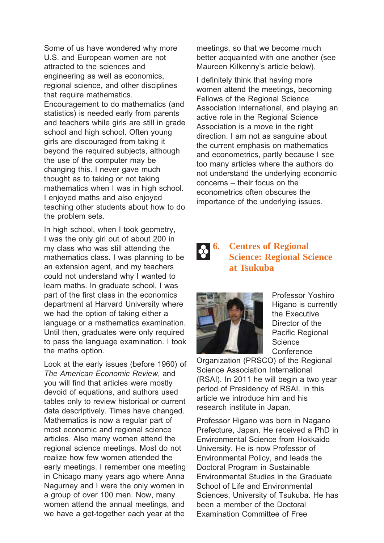Some of us have wondered why more U.S. and European women are not attracted to the sciences and engineering as well as economics, regional science, and other disciplines that require mathematics. Encouragement to do mathematics (and statistics) is needed early from parents and teachers while girls are still in grade school and high school. Often young girls are discouraged from taking it beyond the required subjects, although the use of the computer may be changing this. I never gave much thought as to taking or not taking mathematics when I was in high school. I enjoyed maths and also enjoyed teaching other students about how to do the problem sets.

In high school, when I took geometry, I was the only girl out of about 200 in my class who was still attending the mathematics class. I was planning to be an extension agent, and my teachers could not understand why I wanted to learn maths. In graduate school, I was part of the first class in the economics department at Harvard University where we had the option of taking either a language or a mathematics examination. Until then, graduates were only required to pass the language examination. I took the maths option.

Look at the early issues (before 1960) of *The American Economic Review*, and you will find that articles were mostly devoid of equations, and authors used tables only to review historical or current data descriptively. Times have changed. Mathematics is now a regular part of most economic and regional science articles. Also many women attend the regional science meetings. Most do not realize how few women attended the early meetings. I remember one meeting in Chicago many years ago where Anna Nagurney and I were the only women in a group of over 100 men. Now, many women attend the annual meetings, and we have a get-together each year at the

meetings, so that we become much better acquainted with one another (see Maureen Kilkenny's article below).

I definitely think that having more women attend the meetings, becoming Fellows of the Regional Science Association International, and playing an active role in the Regional Science Association is a move in the right direction. I am not as sanguine about the current emphasis on mathematics and econometrics, partly because I see too many articles where the authors do not understand the underlying economic concerns – their focus on the econometrics often obscures the importance of the underlying issues.

#### **6.** Centres of Regional **Science: Regional Science at Tsukuba**



Professor Yoshiro Higano is currently the Executive Director of the Pacific Regional **Science Conference** 

Organization (PRSCO) of the Regional Science Association International (RSAI). In 2011 he will begin a two year period of Presidency of RSAI. In this article we introduce him and his research institute in Japan.

Professor Higano was born in Nagano Prefecture, Japan. He received a PhD in Environmental Science from Hokkaido University. He is now Professor of Environmental Policy, and leads the Doctoral Program in Sustainable Environmental Studies in the Graduate School of Life and Environmental Sciences, University of Tsukuba. He has been a member of the Doctoral Examination Committee of Free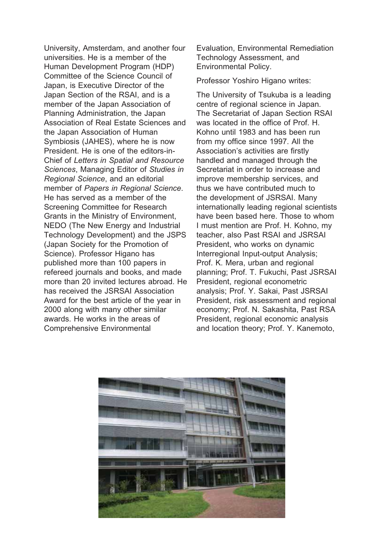University, Amsterdam, and another four universities. He is a member of the Human Development Program (HDP) Committee of the Science Council of Japan, is Executive Director of the Japan Section of the RSAI, and is a member of the Japan Association of Planning Administration, the Japan Association of Real Estate Sciences and the Japan Association of Human Symbiosis (JAHES), where he is now President. He is one of the editors-in-Chief of *Letters in Spatial and Resource Sciences*, Managing Editor of *Studies in Regional Science*, and an editorial member of *Papers in Regional Science*. He has served as a member of the Screening Committee for Research Grants in the Ministry of Environment, NEDO (The New Energy and Industrial Technology Development) and the JSPS (Japan Society for the Promotion of Science). Professor Higano has published more than 100 papers in refereed journals and books, and made more than 20 invited lectures abroad. He has received the JSRSAI Association Award for the best article of the year in 2000 along with many other similar awards. He works in the areas of Comprehensive Environmental

Evaluation, Environmental Remediation Technology Assessment, and Environmental Policy.

Professor Yoshiro Higano writes:

The University of Tsukuba is a leading centre of regional science in Japan. The Secretariat of Japan Section RSAI was located in the office of Prof. H. Kohno until 1983 and has been run from my office since 1997. All the Association's activities are firstly handled and managed through the Secretariat in order to increase and improve membership services, and thus we have contributed much to the development of JSRSAI. Many internationally leading regional scientists have been based here. Those to whom I must mention are Prof. H. Kohno, my teacher, also Past RSAI and JSRSAI President, who works on dynamic Interregional Input-output Analysis; Prof. K. Mera, urban and regional planning; Prof. T. Fukuchi, Past JSRSAI President, regional econometric analysis; Prof. Y. Sakai, Past JSRSAI President, risk assessment and regional economy; Prof. N. Sakashita, Past RSA President, regional economic analysis and location theory; Prof. Y. Kanemoto,

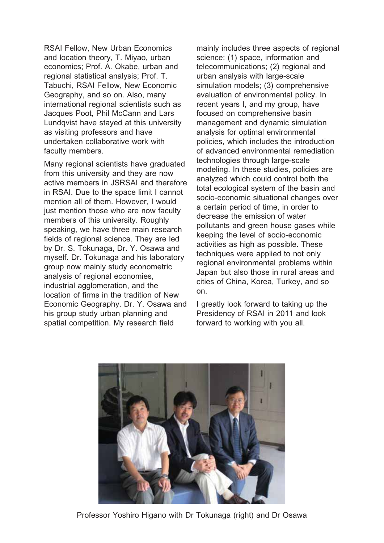RSAI Fellow, New Urban Economics and location theory, T. Miyao, urban economics; Prof. A. Okabe, urban and regional statistical analysis; Prof. T. Tabuchi, RSAI Fellow, New Economic Geography, and so on. Also, many international regional scientists such as Jacques Poot, Phil McCann and Lars Lundqvist have stayed at this university as visiting professors and have undertaken collaborative work with faculty members.

Many regional scientists have graduated from this university and they are now active members in JSRSAI and therefore in RSAI. Due to the space limit I cannot mention all of them. However, I would just mention those who are now faculty members of this university. Roughly speaking, we have three main research fields of regional science. They are led by Dr. S. Tokunaga, Dr. Y. Osawa and myself. Dr. Tokunaga and his laboratory group now mainly study econometric analysis of regional economies, industrial agglomeration, and the location of firms in the tradition of New Economic Geography. Dr. Y. Osawa and his group study urban planning and spatial competition. My research field

mainly includes three aspects of regional science: (1) space, information and telecommunications; (2) regional and urban analysis with large-scale simulation models; (3) comprehensive evaluation of environmental policy. In recent years I, and my group, have focused on comprehensive basin management and dynamic simulation analysis for optimal environmental policies, which includes the introduction of advanced environmental remediation technologies through large-scale modeling. In these studies, policies are analyzed which could control both the total ecological system of the basin and socio-economic situational changes over a certain period of time, in order to decrease the emission of water pollutants and green house gases while keeping the level of socio-economic activities as high as possible. These techniques were applied to not only regional environmental problems within Japan but also those in rural areas and cities of China, Korea, Turkey, and so on.

I greatly look forward to taking up the Presidency of RSAI in 2011 and look forward to working with you all.



Professor Yoshiro Higano with Dr Tokunaga (right) and Dr Osawa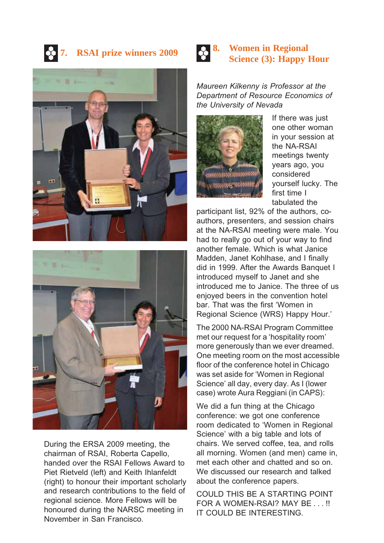### **RSAI prize winners 2009**





During the ERSA 2009 meeting, the chairman of RSAI, Roberta Capello, handed over the RSAI Fellows Award to Piet Rietveld (left) and Keith Ihlanfeldt (right) to honour their important scholarly and research contributions to the field of regional science. More Fellows will be honoured during the NARSC meeting in November in San Francisco.

#### **8.** Women in Regional **Science** (3) **Hanny** l **Science (3): Happy Hour**

*Maureen Kilkenny is Professor at the Department of Resource Economics of the University of Nevada*



If there was just one other woman in your session at the NA-RSAI meetings twenty years ago, you considered yourself lucky. The first time I tabulated the

participant list, 92% of the authors, coauthors, presenters, and session chairs at the NA-RSAI meeting were male. You had to really go out of your way to find another female. Which is what Janice Madden, Janet Kohlhase, and I finally did in 1999. After the Awards Banquet I introduced myself to Janet and she introduced me to Janice. The three of us enjoyed beers in the convention hotel bar. That was the first 'Women in Regional Science (WRS) Happy Hour.'

The 2000 NA-RSAI Program Committee met our request for a 'hospitality room' more generously than we ever dreamed. One meeting room on the most accessible floor of the conference hotel in Chicago was set aside for 'Women in Regional Science' all day, every day. As I (lower case) wrote Aura Reggiani (in CAPS):

We did a fun thing at the Chicago conference: we got one conference room dedicated to 'Women in Regional Science' with a big table and lots of chairs. We served coffee, tea, and rolls all morning. Women (and men) came in, met each other and chatted and so on. We discussed our research and talked about the conference papers.

COULD THIS BE A STARTING POINT FOR A WOMEN-RSAI? MAY BE . . . !! IT COULD BE INTERESTING.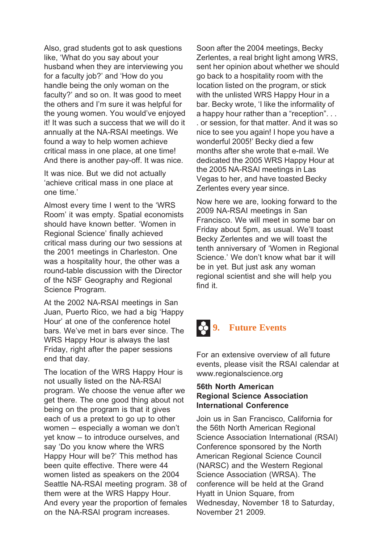Also, grad students got to ask questions like, 'What do you say about your husband when they are interviewing you for a faculty job?' and 'How do you handle being the only woman on the faculty?' and so on. It was good to meet the others and I'm sure it was helpful for the young women. You would've enjoyed it! It was such a success that we will do it annually at the NA-RSAI meetings. We found a way to help women achieve critical mass in one place, at one time! And there is another pay-off. It was nice.

It was nice. But we did not actually 'achieve critical mass in one place at one time.'

Almost every time I went to the 'WRS Room' it was empty. Spatial economists should have known better. 'Women in Regional Science' finally achieved critical mass during our two sessions at the 2001 meetings in Charleston. One was a hospitality hour, the other was a round-table discussion with the Director of the NSF Geography and Regional Science Program.

At the 2002 NA-RSAI meetings in San Juan, Puerto Rico, we had a big 'Happy Hour' at one of the conference hotel bars. We've met in bars ever since. The WRS Happy Hour is always the last Friday, right after the paper sessions end that day.

The location of the WRS Happy Hour is not usually listed on the NA-RSAI program. We choose the venue after we get there. The one good thing about not being on the program is that it gives each of us a pretext to go up to other women – especially a woman we don't yet know – to introduce ourselves, and say 'Do you know where the WRS Happy Hour will be?' This method has been quite effective. There were 44 women listed as speakers on the 2004 Seattle NA-RSAI meeting program. 38 of them were at the WRS Happy Hour. And every year the proportion of females on the NA-RSAI program increases.

Soon after the 2004 meetings, Becky Zerlentes, a real bright light among WRS, sent her opinion about whether we should go back to a hospitality room with the location listed on the program, or stick with the unlisted WRS Happy Hour in a bar. Becky wrote, 'I like the informality of a happy hour rather than a "reception". . . . or session, for that matter. And it was so nice to see you again! I hope you have a wonderful 2005!' Becky died a few months after she wrote that e-mail. We dedicated the 2005 WRS Happy Hour at the 2005 NA-RSAI meetings in Las Vegas to her, and have toasted Becky Zerlentes every year since.

Now here we are, looking forward to the 2009 NA-RSAI meetings in San Francisco. We will meet in some bar on Friday about 5pm, as usual. We'll toast Becky Zerlentes and we will toast the tenth anniversary of 'Women in Regional Science.' We don't know what bar it will be in yet. But just ask any woman regional scientist and she will help you find it.



For an extensive overview of all future events, please visit the RSAI calendar at www.regionalscience.org

#### **56th North American Regional Science Association International Conference**

Join us in San Francisco, California for the 56th North American Regional Science Association International (RSAI) Conference sponsored by the North American Regional Science Council (NARSC) and the Western Regional Science Association (WRSA). The conference will be held at the Grand Hyatt in Union Square, from Wednesday, November 18 to Saturday, November 21 2009.